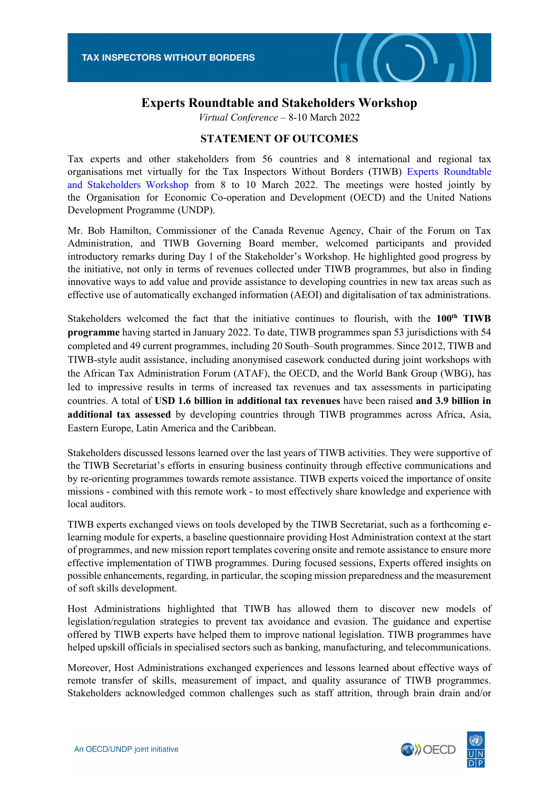

## **Experts Roundtable and Stakeholders Workshop**

*Virtual Conference* – 8-10 March 2022

## **STATEMENT OF OUTCOMES**

Tax experts and other stakeholders from 56 countries and 8 international and regional tax organisations met virtually for the Tax Inspectors Without Borders (TIWB) Experts Roundtable and Stakeholders Workshop [from 8 to 10 March 2022. The meetings were hosted jointly by](http://tiwb.org/resources/events/tiwb-experts-round-table-stakeholders-workshop-march-2022.htm)  the Organisation for Economic Co-operation and Development (OECD) and the United Nations Development Programme (UNDP).

Mr. Bob Hamilton, Commissioner of the Canada Revenue Agency, Chair of the Forum on Tax Administration, and TIWB Governing Board member, welcomed participants and provided introductory remarks during Day 1 of the Stakeholder's Workshop. He highlighted good progress by the initiative, not only in terms of revenues collected under TIWB programmes, but also in finding innovative ways to add value and provide assistance to developing countries in new tax areas such as effective use of automatically exchanged information (AEOI) and digitalisation of tax administrations.

Stakeholders welcomed the fact that the initiative continues to flourish, with the **100th TIWB programme** having started in January 2022. To date, TIWB programmes span 53 jurisdictions with 54 completed and 49 current programmes, including 20 South–South programmes. Since 2012, TIWB and TIWB-style audit assistance, including anonymised casework conducted during joint workshops with the African Tax Administration Forum (ATAF), the OECD, and the World Bank Group (WBG), has led to impressive results in terms of increased tax revenues and tax assessments in participating countries. A total of **USD 1.6 billion in additional tax revenues** have been raised **and 3.9 billion in additional tax assessed** by developing countries through TIWB programmes across Africa, Asia, Eastern Europe, Latin America and the Caribbean.

Stakeholders discussed lessons learned over the last years of TIWB activities. They were supportive of the TIWB Secretariat's efforts in ensuring business continuity through effective communications and by re-orienting programmes towards remote assistance. TIWB experts voiced the importance of onsite missions - combined with this remote work - to most effectively share knowledge and experience with local auditors.

TIWB experts exchanged views on tools developed by the TIWB Secretariat, such as a forthcoming elearning module for experts, a baseline questionnaire providing Host Administration context at the start of programmes, and new mission report templates covering onsite and remote assistance to ensure more effective implementation of TIWB programmes. During focused sessions, Experts offered insights on possible enhancements, regarding, in particular, the scoping mission preparedness and the measurement of soft skills development.

Host Administrations highlighted that TIWB has allowed them to discover new models of legislation/regulation strategies to prevent tax avoidance and evasion. The guidance and expertise offered by TIWB experts have helped them to improve national legislation. TIWB programmes have helped upskill officials in specialised sectors such as banking, manufacturing, and telecommunications.

Moreover, Host Administrations exchanged experiences and lessons learned about effective ways of remote transfer of skills, measurement of impact, and quality assurance of TIWB programmes. Stakeholders acknowledged common challenges such as staff attrition, through brain drain and/or